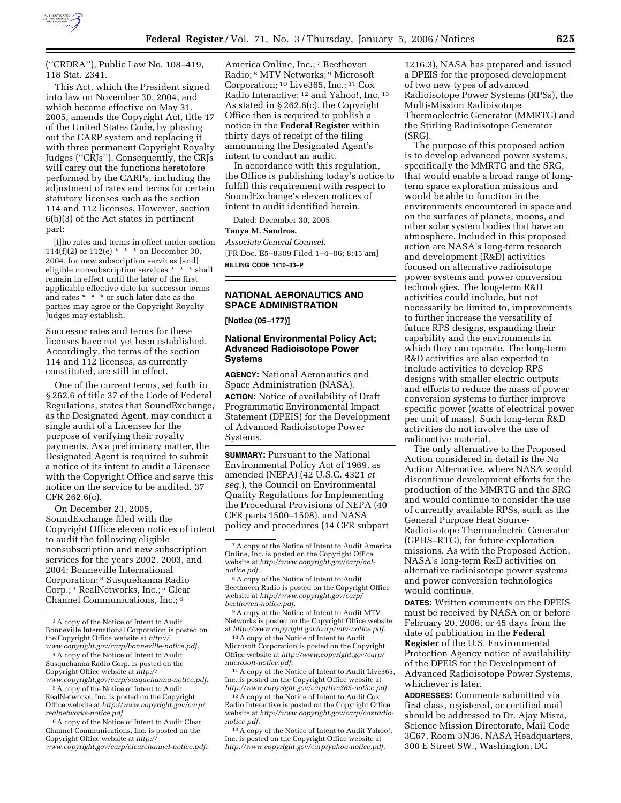

(''CRDRA''), Public Law No. 108–419, 118 Stat. 2341.

This Act, which the President signed into law on November 30, 2004, and which became effective on May 31, 2005, amends the Copyright Act, title 17 of the United States Code, by phasing out the CARP system and replacing it with three permanent Copyright Royalty Judges (''CRJs''). Consequently, the CRJs will carry out the functions heretofore performed by the CARPs, including the adjustment of rates and terms for certain statutory licenses such as the section 114 and 112 licenses. However, section 6(b)(3) of the Act states in pertinent part:

[t]he rates and terms in effect under section 114(f)(2) or 112(e)  $* * *$  on December 30, 2004, for new subscription services [and] eligible nonsubscription services \* \* \* shall remain in effect until the later of the first applicable effective date for successor terms and rates \* \* \* or such later date as the parties may agree or the Copyright Royalty Judges may establish.

Successor rates and terms for these licenses have not yet been established. Accordingly, the terms of the section 114 and 112 licenses, as currently constituted, are still in effect.

One of the current terms, set forth in § 262.6 of title 37 of the Code of Federal Regulations, states that SoundExchange, as the Designated Agent, may conduct a single audit of a Licensee for the purpose of verifying their royalty payments. As a preliminary matter, the Designated Agent is required to submit a notice of its intent to audit a Licensee with the Copyright Office and serve this notice on the service to be audited. 37 CFR 262.6(c).

On December 23, 2005, SoundExchange filed with the Copyright Office eleven notices of intent to audit the following eligible nonsubscription and new subscription services for the years 2002, 2003, and 2004: Bonneville International Corporation; 3 Susquehanna Radio Corp.; 4 RealNetworks, Inc.; 5 Clear Channel Communications, Inc.; 6

America Online, Inc.; 7 Beethoven Radio; 8 MTV Networks; 9 Microsoft Corporation; 10 Live365, Inc.; 11 Cox Radio Interactive; 12 and Yahoo!, Inc. 13 As stated in § 262.6(c), the Copyright Office then is required to publish a notice in the **Federal Register** within thirty days of receipt of the filing announcing the Designated Agent's intent to conduct an audit.

In accordance with this regulation, the Office is publishing today's notice to fulfill this requirement with respect to SoundExchange's eleven notices of intent to audit identified herein.

Dated: December 30, 2005.

#### **Tanya M. Sandros,**

*Associate General Counsel.*  [FR Doc. E5–8309 Filed 1–4–06; 8:45 am] **BILLING CODE 1410–33–P** 

# **NATIONAL AERONAUTICS AND SPACE ADMINISTRATION**

**[Notice (05–177)]** 

# **National Environmental Policy Act; Advanced Radioisotope Power Systems**

**AGENCY:** National Aeronautics and Space Administration (NASA).

**ACTION:** Notice of availability of Draft Programmatic Environmental Impact Statement (DPEIS) for the Development of Advanced Radioisotope Power Systems.

**SUMMARY: Pursuant to the National** Environmental Policy Act of 1969, as amended (NEPA) (42 U.S.C. 4321 *et seq.*), the Council on Environmental Quality Regulations for Implementing the Procedural Provisions of NEPA (40 CFR parts 1500–1508), and NASA policy and procedures (14 CFR subpart

10A copy of the Notice of Intent to Audit Microsoft Corporation is posted on the Copyright Office website at *http://www.copyright.gov/carp/ microsoft-notice.pdf.* 

11A copy of the Notice of Intent to Audit Live365, Inc. is posted on the Copyright Office website at *http://www.copyright.gov/carp/live365-notice.pdf.* 

12A copy of the Notice of Intent to Audit Cox Radio Interactive is posted on the Copyright Office website at *http://www.copyright.gov/carp/coxradionotice.pdf.* 

13A copy of the Notice of Intent to Audit Yahoo!, Inc. is posted on the Copyright Office website at *http://www.copyright.gov/carp/yahoo-notice.pdf.* 

1216.3), NASA has prepared and issued a DPEIS for the proposed development of two new types of advanced Radioisotope Power Systems (RPSs), the Multi-Mission Radioisotope Thermoelectric Generator (MMRTG) and the Stirling Radioisotope Generator (SRG).

The purpose of this proposed action is to develop advanced power systems, specifically the MMRTG and the SRG, that would enable a broad range of longterm space exploration missions and would be able to function in the environments encountered in space and on the surfaces of planets, moons, and other solar system bodies that have an atmosphere. Included in this proposed action are NASA's long-term research and development (R&D) activities focused on alternative radioisotope power systems and power conversion technologies. The long-term R&D activities could include, but not necessarily be limited to, improvements to further increase the versatility of future RPS designs, expanding their capability and the environments in which they can operate. The long-term R&D activities are also expected to include activities to develop RPS designs with smaller electric outputs and efforts to reduce the mass of power conversion systems to further improve specific power (watts of electrical power per unit of mass). Such long-term R&D activities do not involve the use of radioactive material.

The only alternative to the Proposed Action considered in detail is the No Action Alternative, where NASA would discontinue development efforts for the production of the MMRTG and the SRG and would continue to consider the use of currently available RPSs, such as the General Purpose Heat Source-Radioisotope Thermoelectric Generator (GPHS–RTG), for future exploration missions. As with the Proposed Action, NASA's long-term R&D activities on alternative radioisotope power systems and power conversion technologies would continue.

**DATES:** Written comments on the DPEIS must be received by NASA on or before February 20, 2006, or 45 days from the date of publication in the **Federal Register** of the U.S. Environmental Protection Agency notice of availability of the DPEIS for the Development of Advanced Radioisotope Power Systems, whichever is later.

**ADDRESSES:** Comments submitted via first class, registered, or certified mail should be addressed to Dr. Ajay Misra, Science Mission Directorate, Mail Code 3C67, Room 3N36, NASA Headquarters, 300 E Street SW., Washington, DC

<sup>3</sup>A copy of the Notice of Intent to Audit Bonneville International Corporation is posted on the Copyright Office website at *http:// www.copyright.gov/carp/bonneville-notice.pdf.* 

<sup>4</sup>A copy of the Notice of Intent to Audit Susquehanna Radio Corp. is posted on the Copyright Office website at *http://* 

*www.copyright.gov/carp/susquehanna-notice.pdf.*  5A copy of the Notice of Intent to Audit

RealNetworks, Inc. is posted on the Copyright Office website at *http://www.copyright.gov/carp/ realnetworks-notice.pdf.* 

<sup>6</sup>A copy of the Notice of Intent to Audit Clear Channel Communications, Inc. is posted on the Copyright Office website at *http:// www.copyright.gov/carp/clearchannel-notice.pdf.* 

<sup>7</sup>A copy of the Notice of Intent to Audit America Online, Inc. is posted on the Copyright Office website at *http://www.copyright.gov/carp/aolnotice.pdf.* 

<sup>8</sup>A copy of the Notice of Intent to Audit Beethoven Radio is posted on the Copyright Office website at *http://www.copyright.gov/carp/ beethoven-notice.pdf.* 

<sup>9</sup>A copy of the Notice of Intent to Audit MTV Networks is posted on the Copyright Office website at *http://www.copyright.gov/carp/mtv-notice.pdf.*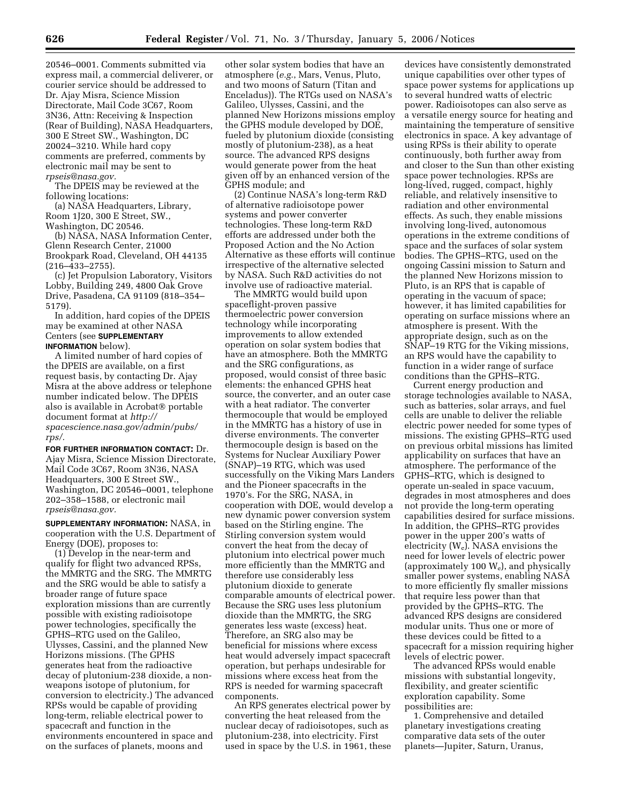20546–0001. Comments submitted via express mail, a commercial deliverer, or courier service should be addressed to Dr. Ajay Misra, Science Mission Directorate, Mail Code 3C67, Room 3N36, Attn: Receiving & Inspection (Rear of Building), NASA Headquarters, 300 E Street SW., Washington, DC 20024–3210. While hard copy comments are preferred, comments by electronic mail may be sent to *rpseis@nasa.gov.* 

The DPEIS may be reviewed at the following locations:

(a) NASA Headquarters, Library, Room 1J20, 300 E Street, SW., Washington, DC 20546.

(b) NASA, NASA Information Center, Glenn Research Center, 21000 Brookpark Road, Cleveland, OH 44135 (216–433–2755).

(c) Jet Propulsion Laboratory, Visitors Lobby, Building 249, 4800 Oak Grove Drive, Pasadena, CA 91109 (818–354– 5179).

In addition, hard copies of the DPEIS may be examined at other NASA Centers (see **SUPPLEMENTARY INFORMATION** below).

A limited number of hard copies of the DPEIS are available, on a first request basis, by contacting Dr. Ajay Misra at the above address or telephone number indicated below. The DPEIS also is available in Acrobat<sup>®</sup> portable document format at *http:// spacescience.nasa.gov/admin/pubs/ rps/.* 

**FOR FURTHER INFORMATION CONTACT:** Dr. Ajay Misra, Science Mission Directorate, Mail Code 3C67, Room 3N36, NASA Headquarters, 300 E Street SW., Washington, DC 20546–0001, telephone 202–358–1588, or electronic mail *rpseis@nasa.gov.* 

**SUPPLEMENTARY INFORMATION:** NASA, in cooperation with the U.S. Department of Energy (DOE), proposes to:

(1) Develop in the near-term and qualify for flight two advanced RPSs, the MMRTG and the SRG. The MMRTG and the SRG would be able to satisfy a broader range of future space exploration missions than are currently possible with existing radioisotope power technologies, specifically the GPHS–RTG used on the Galileo, Ulysses, Cassini, and the planned New Horizons missions. (The GPHS generates heat from the radioactive decay of plutonium-238 dioxide, a nonweapons isotope of plutonium, for conversion to electricity.) The advanced RPSs would be capable of providing long-term, reliable electrical power to spacecraft and function in the environments encountered in space and on the surfaces of planets, moons and

other solar system bodies that have an atmosphere (*e.g.*, Mars, Venus, Pluto, and two moons of Saturn (Titan and Enceladus)). The RTGs used on NASA's Galileo, Ulysses, Cassini, and the planned New Horizons missions employ the GPHS module developed by DOE, fueled by plutonium dioxide (consisting mostly of plutonium-238), as a heat source. The advanced RPS designs would generate power from the heat given off by an enhanced version of the GPHS module; and

(2) Continue NASA's long-term R&D of alternative radioisotope power systems and power converter technologies. These long-term R&D efforts are addressed under both the Proposed Action and the No Action Alternative as these efforts will continue irrespective of the alternative selected by NASA. Such R&D activities do not involve use of radioactive material.

The MMRTG would build upon spaceflight-proven passive thermoelectric power conversion technology while incorporating improvements to allow extended operation on solar system bodies that have an atmosphere. Both the MMRTG and the SRG configurations, as proposed, would consist of three basic elements: the enhanced GPHS heat source, the converter, and an outer case with a heat radiator. The converter thermocouple that would be employed in the MMRTG has a history of use in diverse environments. The converter thermocouple design is based on the Systems for Nuclear Auxiliary Power (SNAP)–19 RTG, which was used successfully on the Viking Mars Landers and the Pioneer spacecrafts in the 1970's. For the SRG, NASA, in cooperation with DOE, would develop a new dynamic power conversion system based on the Stirling engine. The Stirling conversion system would convert the heat from the decay of plutonium into electrical power much more efficiently than the MMRTG and therefore use considerably less plutonium dioxide to generate comparable amounts of electrical power. Because the SRG uses less plutonium dioxide than the MMRTG, the SRG generates less waste (excess) heat. Therefore, an SRG also may be beneficial for missions where excess heat would adversely impact spacecraft operation, but perhaps undesirable for missions where excess heat from the RPS is needed for warming spacecraft components.

An RPS generates electrical power by converting the heat released from the nuclear decay of radioisotopes, such as plutonium-238, into electricity. First used in space by the U.S. in 1961, these

devices have consistently demonstrated unique capabilities over other types of space power systems for applications up to several hundred watts of electric power. Radioisotopes can also serve as a versatile energy source for heating and maintaining the temperature of sensitive electronics in space. A key advantage of using RPSs is their ability to operate continuously, both further away from and closer to the Sun than other existing space power technologies. RPSs are long-lived, rugged, compact, highly reliable, and relatively insensitive to radiation and other environmental effects. As such, they enable missions involving long-lived, autonomous operations in the extreme conditions of space and the surfaces of solar system bodies. The GPHS–RTG, used on the ongoing Cassini mission to Saturn and the planned New Horizons mission to Pluto, is an RPS that is capable of operating in the vacuum of space; however, it has limited capabilities for operating on surface missions where an atmosphere is present. With the appropriate design, such as on the SNAP–19 RTG for the Viking missions, an RPS would have the capability to function in a wider range of surface conditions than the GPHS–RTG.

Current energy production and storage technologies available to NASA, such as batteries, solar arrays, and fuel cells are unable to deliver the reliable electric power needed for some types of missions. The existing GPHS–RTG used on previous orbital missions has limited applicability on surfaces that have an atmosphere. The performance of the GPHS–RTG, which is designed to operate un-sealed in space vacuum, degrades in most atmospheres and does not provide the long-term operating capabilities desired for surface missions. In addition, the GPHS–RTG provides power in the upper 200's watts of electricity  $(W_e)$ . NASA envisions the need for lower levels of electric power (approximately 100 We), and physically smaller power systems, enabling NASA to more efficiently fly smaller missions that require less power than that provided by the GPHS–RTG. The advanced RPS designs are considered modular units. Thus one or more of these devices could be fitted to a spacecraft for a mission requiring higher levels of electric power.

The advanced RPSs would enable missions with substantial longevity, flexibility, and greater scientific exploration capability. Some possibilities are:

1. Comprehensive and detailed planetary investigations creating comparative data sets of the outer planets—Jupiter, Saturn, Uranus,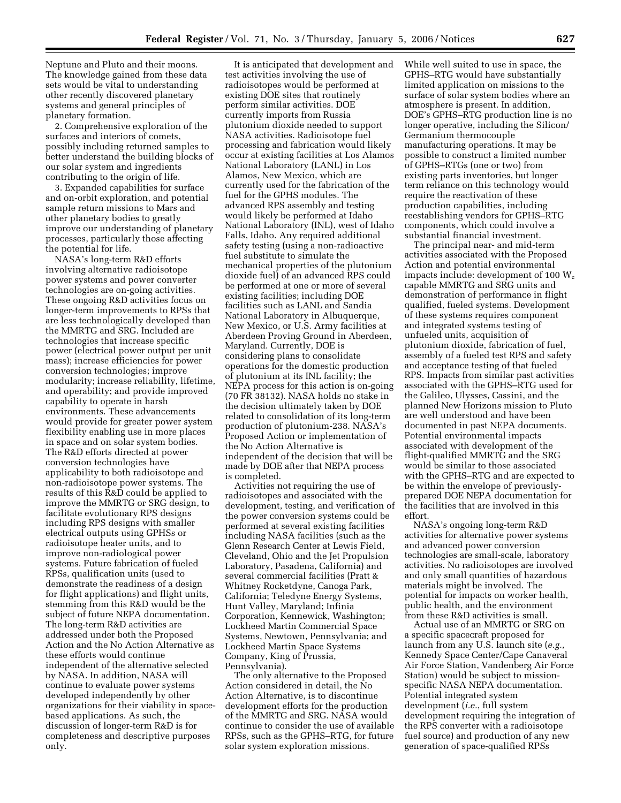Neptune and Pluto and their moons. The knowledge gained from these data sets would be vital to understanding other recently discovered planetary systems and general principles of planetary formation.

2. Comprehensive exploration of the surfaces and interiors of comets, possibly including returned samples to better understand the building blocks of our solar system and ingredients contributing to the origin of life.

3. Expanded capabilities for surface and on-orbit exploration, and potential sample return missions to Mars and other planetary bodies to greatly improve our understanding of planetary processes, particularly those affecting the potential for life.

NASA's long-term R&D efforts involving alternative radioisotope power systems and power converter technologies are on-going activities. These ongoing R&D activities focus on longer-term improvements to RPSs that are less technologically developed than the MMRTG and SRG. Included are technologies that increase specific power (electrical power output per unit mass); increase efficiencies for power conversion technologies; improve modularity; increase reliability, lifetime, and operability; and provide improved capability to operate in harsh environments. These advancements would provide for greater power system flexibility enabling use in more places in space and on solar system bodies. The R&D efforts directed at power conversion technologies have applicability to both radioisotope and non-radioisotope power systems. The results of this R&D could be applied to improve the MMRTG or SRG design, to facilitate evolutionary RPS designs including RPS designs with smaller electrical outputs using GPHSs or radioisotope heater units, and to improve non-radiological power systems. Future fabrication of fueled RPSs, qualification units (used to demonstrate the readiness of a design for flight applications) and flight units, stemming from this R&D would be the subject of future NEPA documentation. The long-term R&D activities are addressed under both the Proposed Action and the No Action Alternative as these efforts would continue independent of the alternative selected by NASA. In addition, NASA will continue to evaluate power systems developed independently by other organizations for their viability in spacebased applications. As such, the discussion of longer-term R&D is for completeness and descriptive purposes only.

It is anticipated that development and test activities involving the use of radioisotopes would be performed at existing DOE sites that routinely perform similar activities. DOE currently imports from Russia plutonium dioxide needed to support NASA activities. Radioisotope fuel processing and fabrication would likely occur at existing facilities at Los Alamos National Laboratory (LANL) in Los Alamos, New Mexico, which are currently used for the fabrication of the fuel for the GPHS modules. The advanced RPS assembly and testing would likely be performed at Idaho National Laboratory (INL), west of Idaho Falls, Idaho. Any required additional safety testing (using a non-radioactive fuel substitute to simulate the mechanical properties of the plutonium dioxide fuel) of an advanced RPS could be performed at one or more of several existing facilities; including DOE facilities such as LANL and Sandia National Laboratory in Albuquerque, New Mexico, or U.S. Army facilities at Aberdeen Proving Ground in Aberdeen, Maryland. Currently, DOE is considering plans to consolidate operations for the domestic production of plutonium at its INL facility; the NEPA process for this action is on-going (70 FR 38132). NASA holds no stake in the decision ultimately taken by DOE related to consolidation of its long-term production of plutonium-238. NASA's Proposed Action or implementation of the No Action Alternative is independent of the decision that will be made by DOE after that NEPA process is completed.

Activities not requiring the use of radioisotopes and associated with the development, testing, and verification of the power conversion systems could be performed at several existing facilities including NASA facilities (such as the Glenn Research Center at Lewis Field, Cleveland, Ohio and the Jet Propulsion Laboratory, Pasadena, California) and several commercial facilities (Pratt & Whitney Rocketdyne, Canoga Park, California; Teledyne Energy Systems, Hunt Valley, Maryland; Infinia Corporation, Kennewick, Washington; Lockheed Martin Commercial Space Systems, Newtown, Pennsylvania; and Lockheed Martin Space Systems Company, King of Prussia, Pennsylvania).

The only alternative to the Proposed Action considered in detail, the No Action Alternative, is to discontinue development efforts for the production of the MMRTG and SRG. NASA would continue to consider the use of available RPSs, such as the GPHS–RTG, for future solar system exploration missions.

While well suited to use in space, the GPHS–RTG would have substantially limited application on missions to the surface of solar system bodies where an atmosphere is present. In addition, DOE's GPHS–RTG production line is no longer operative, including the Silicon/ Germanium thermocouple manufacturing operations. It may be possible to construct a limited number of GPHS–RTGs (one or two) from existing parts inventories, but longer term reliance on this technology would require the reactivation of these production capabilities, including reestablishing vendors for GPHS–RTG components, which could involve a substantial financial investment.

The principal near- and mid-term activities associated with the Proposed Action and potential environmental impacts include: development of 100 We capable MMRTG and SRG units and demonstration of performance in flight qualified, fueled systems. Development of these systems requires component and integrated systems testing of unfueled units, acquisition of plutonium dioxide, fabrication of fuel, assembly of a fueled test RPS and safety and acceptance testing of that fueled RPS. Impacts from similar past activities associated with the GPHS–RTG used for the Galileo, Ulysses, Cassini, and the planned New Horizons mission to Pluto are well understood and have been documented in past NEPA documents. Potential environmental impacts associated with development of the flight-qualified MMRTG and the SRG would be similar to those associated with the GPHS–RTG and are expected to be within the envelope of previouslyprepared DOE NEPA documentation for the facilities that are involved in this effort.

NASA's ongoing long-term R&D activities for alternative power systems and advanced power conversion technologies are small-scale, laboratory activities. No radioisotopes are involved and only small quantities of hazardous materials might be involved. The potential for impacts on worker health, public health, and the environment from these R&D activities is small.

Actual use of an MMRTG or SRG on a specific spacecraft proposed for launch from any U.S. launch site (*e.g.*, Kennedy Space Center/Cape Canaveral Air Force Station, Vandenberg Air Force Station) would be subject to missionspecific NASA NEPA documentation. Potential integrated system development (*i.e.*, full system development requiring the integration of the RPS converter with a radioisotope fuel source) and production of any new generation of space-qualified RPSs